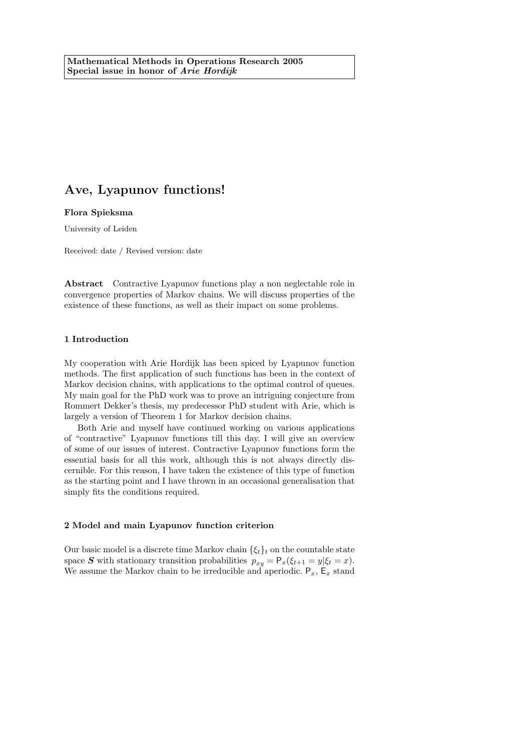# Ave, Lyapunov functions!

### Flora Spieksma

University of Leiden

Received: date / Revised version: date

Abstract Contractive Lyapunov functions play a non neglectable role in convergence properties of Markov chains. We will discuss properties of the existence of these functions, as well as their impact on some problems.

## 1 Introduction

My cooperation with Arie Hordijk has been spiced by Lyapunov function methods. The first application of such functions has been in the context of Markov decision chains, with applications to the optimal control of queues. My main goal for the PhD work was to prove an intriguing conjecture from Rommert Dekker's thesis, my predecessor PhD student with Arie, which is largely a version of Theorem 1 for Markov decision chains.

Both Arie and myself have continued working on various applications of "contractive" Lyapunov functions till this day. I will give an overview of some of our issues of interest. Contractive Lyapunov functions form the essential basis for all this work, although this is not always directly discernible. For this reason, I have taken the existence of this type of function as the starting point and I have thrown in an occasional generalisation that simply fits the conditions required.

## 2 Model and main Lyapunov function criterion

Our basic model is a discrete time Markov chain  $\{\xi_t\}_t$  on the countable state space S with stationary transition probabilities  $p_{xy} = P_x(\xi_{t+1} = y | \xi_t = x)$ . We assume the Markov chain to be irreducible and aperiodic.  $P_x$ ,  $E_x$  stand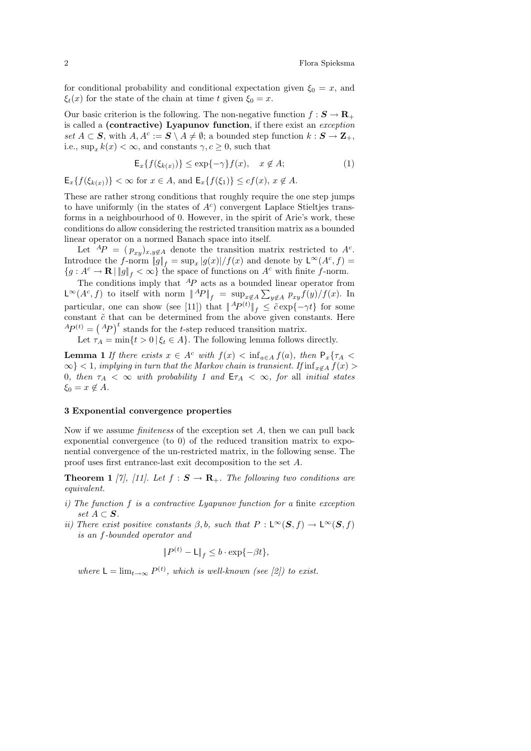for conditional probability and conditional expectation given  $\xi_0 = x$ , and  $\xi_t(x)$  for the state of the chain at time t given  $\xi_0 = x$ .

Our basic criterion is the following. The non-negative function  $f : S \to \mathbf{R}_+$ is called a (contractive) Lyapunov function, if there exist an exception set  $A \subset S$ , with  $A, A^c := S \setminus A \neq \emptyset$ ; a bounded step function  $k : S \to \mathbb{Z}_+$ , i.e.,  $\sup_x k(x) < \infty$ , and constants  $\gamma, c \geq 0$ , such that

$$
\mathsf{E}_x\{f(\xi_{k(x)})\} \le \exp\{-\gamma\}f(x), \quad x \notin A; \tag{1}
$$

 $\mathsf{E}_x\{f(\xi_{k(x)})\}<\infty$  for  $x\in A$ , and  $\mathsf{E}_x\{f(\xi_1)\}\leq cf(x), x\not\in A$ .

These are rather strong conditions that roughly require the one step jumps to have uniformly (in the states of  $A<sup>c</sup>$ ) convergent Laplace Stieltjes transforms in a neighbourhood of 0. However, in the spirit of Arie's work, these conditions do allow considering the restricted transition matrix as a bounded linear operator on a normed Banach space into itself.

Let  ${}^{A}P = (p_{xy})_{x,y \notin A}$  denote the transition matrix restricted to  $A^c$ . Introduce the f-norm  $||g||_f = \sup_x |g(x)|/f(x)$  and denote by  $\mathsf{L}^\infty(A^c, f) =$  ${g : A^c \to \mathbf{R} \mid \|g\|_f < \infty}$  the space of functions on  $A^c$  with finite f-norm.

The conditions imply that  $^{A}P$  acts as a bounded linear operator from L<sup>∞</sup>(A<sup>c</sup>, f) to itself with norm  $||^A P||_f = \sup_{x \notin A} \sum_{y \notin A} p_{xy} f(y)/f(x)$ . In particular, one can show (see [11]) that  $||^{Ap(t)}||_f \leq \tilde{c} \exp\{-\gamma t\}$  for some constant  $\tilde{c}$  that can be determined from the above given constants. Here  ${}^{A}P^{(t)} = ({}^{A}P)^t$  stands for the t-step reduced transition matrix.

Let  $\tau_A = \min\{t > 0 \mid \xi_t \in A\}$ . The following lemma follows directly.

**Lemma 1** If there exists  $x \in A^c$  with  $f(x) < \inf_{a \in A} f(a)$ , then  $P_x\{\tau_A <$  $\infty$ } < 1, implying in turn that the Markov chain is transient. If inf<sub>x∉A</sub>  $f(x)$ 0, then  $\tau_A < \infty$  with probability 1 and  $E \tau_A < \infty$ , for all initial states  $\xi_0 = x \notin A$ .

#### 3 Exponential convergence properties

Now if we assume finiteness of the exception set A, then we can pull back exponential convergence (to 0) of the reduced transition matrix to exponential convergence of the un-restricted matrix, in the following sense. The proof uses first entrance-last exit decomposition to the set A.

**Theorem 1** [7], [11]. Let  $f : \mathbf{S} \to \mathbf{R}_+$ . The following two conditions are equivalent.

- i) The function f is a contractive Lyapunov function for a finite exception set  $A \subset S$ .
- ii) There exist positive constants  $\beta$ , b, such that  $P : \mathsf{L}^\infty(\mathbf{S}, f) \to \mathsf{L}^\infty(\mathbf{S}, f)$ is an f-bounded operator and

$$
||P^{(t)} - L||_f \le b \cdot \exp\{-\beta t\},
$$

where  $\mathsf{L} = \lim_{t \to \infty} P^{(t)}$ , which is well-known (see [2]) to exist.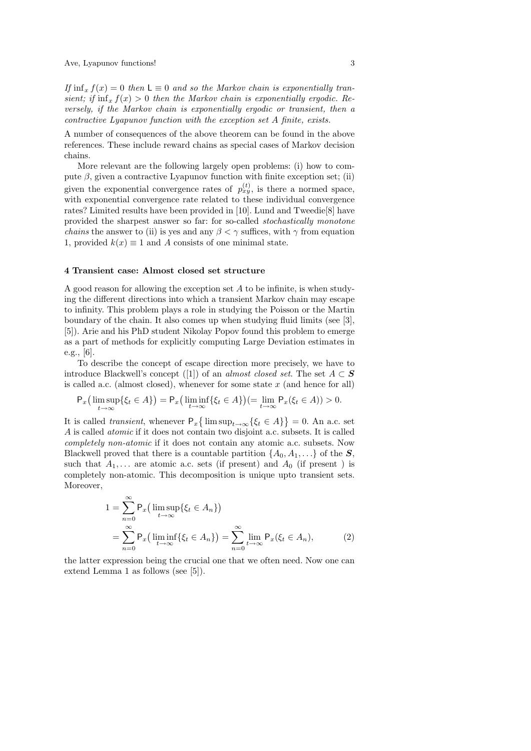If  $\inf_x f(x) = 0$  then  $\mathsf{L} \equiv 0$  and so the Markov chain is exponentially transient; if  $\inf_x f(x) > 0$  then the Markov chain is exponentially ergodic. Reversely, if the Markov chain is exponentially ergodic or transient, then a contractive Lyapunov function with the exception set A finite, exists.

A number of consequences of the above theorem can be found in the above references. These include reward chains as special cases of Markov decision chains.

More relevant are the following largely open problems: (i) how to compute  $\beta$ , given a contractive Lyapunov function with finite exception set; (ii) given the exponential convergence rates of  $p_{xy}^{(t)}$ , is there a normed space, with exponential convergence rate related to these individual convergence rates? Limited results have been provided in [10]. Lund and Tweedie[8] have provided the sharpest answer so far: for so-called stochastically monotone *chains* the answer to (ii) is yes and any  $\beta < \gamma$  suffices, with  $\gamma$  from equation 1, provided  $k(x) \equiv 1$  and A consists of one minimal state.

#### 4 Transient case: Almost closed set structure

A good reason for allowing the exception set A to be infinite, is when studying the different directions into which a transient Markov chain may escape to infinity. This problem plays a role in studying the Poisson or the Martin boundary of the chain. It also comes up when studying fluid limits (see [3], [5]). Arie and his PhD student Nikolay Popov found this problem to emerge as a part of methods for explicitly computing Large Deviation estimates in e.g., [6].

To describe the concept of escape direction more precisely, we have to introduce Blackwell's concept ([1]) of an *almost closed set*. The set  $A \subset S$ is called a.c. (almost closed), whenever for some state  $x$  (and hence for all)

$$
\mathsf{P}_x\big(\limsup_{t\to\infty}\{\xi_t\in A\}\big)=\mathsf{P}_x\big(\liminf_{t\to\infty}\{\xi_t\in A\}\big)(=\lim_{t\to\infty}\mathsf{P}_x(\xi_t\in A))>0.
$$

It is called *transient*, whenever  $P_x\{\limsup_{t\to\infty}\{\xi_t \in A\}\}=0$ . An a.c. set A is called atomic if it does not contain two disjoint a.c. subsets. It is called completely non-atomic if it does not contain any atomic a.c. subsets. Now Blackwell proved that there is a countable partition  $\{A_0, A_1, \ldots\}$  of the  $S$ , such that  $A_1, \ldots$  are atomic a.c. sets (if present) and  $A_0$  (if present) is completely non-atomic. This decomposition is unique upto transient sets. Moreover,

$$
1 = \sum_{n=0}^{\infty} P_x \left( \limsup_{t \to \infty} \{ \xi_t \in A_n \} \right)
$$
  
= 
$$
\sum_{n=0}^{\infty} P_x \left( \liminf_{t \to \infty} \{ \xi_t \in A_n \} \right) = \sum_{n=0}^{\infty} \lim_{t \to \infty} P_x (\xi_t \in A_n),
$$
 (2)

the latter expression being the crucial one that we often need. Now one can extend Lemma 1 as follows (see [5]).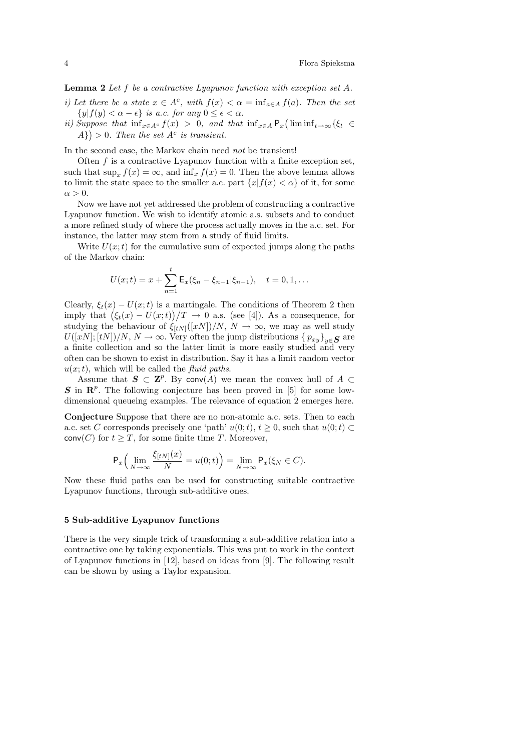Lemma 2 Let f be a contractive Lyapunov function with exception set A.

- i) Let there be a state  $x \in A^c$ , with  $f(x) < \alpha = \inf_{a \in A} f(a)$ . Then the set  ${y|f(y) < \alpha - \epsilon}$  is a.c. for any  $0 \le \epsilon < \alpha$ .
- ii) Suppose that  $\inf_{x \in A^c} f(x) > 0$ , and that  $\inf_{x \in A} P_x(\liminf_{t \to \infty} {\{\xi_t \in A\}})$  $A\}) > 0$ . Then the set  $A^c$  is transient.

In the second case, the Markov chain need not be transient!

Often  $f$  is a contractive Lyapunov function with a finite exception set, such that  $\sup_x f(x) = \infty$ , and  $\inf_x f(x) = 0$ . Then the above lemma allows to limit the state space to the smaller a.c. part  ${x|f(x) < \alpha}$  of it, for some  $\alpha > 0$ .

Now we have not yet addressed the problem of constructing a contractive Lyapunov function. We wish to identify atomic a.s. subsets and to conduct a more refined study of where the process actually moves in the a.c. set. For instance, the latter may stem from a study of fluid limits.

Write  $U(x;t)$  for the cumulative sum of expected jumps along the paths of the Markov chain:

$$
U(x;t) = x + \sum_{n=1}^{t} \mathsf{E}_x(\xi_n - \xi_{n-1}|\xi_{n-1}), \quad t = 0, 1, \dots
$$

Clearly,  $\xi_t(x) - U(x;t)$  is a martingale. The conditions of Theorem 2 then imply that  $(\xi_t(x) - U(x;t))/T \to 0$  a.s. (see [4]). As a consequence, for studying the behaviour of  $\xi_{[tN]}([xN])/N, N \to \infty$ , we may as well study  $U([xN]; [tN])/N, N \to \infty$ . Very often the jump distributions  ${p_{xy}}_{y \in S}$  are a finite collection and so the latter limit is more easily studied and very often can be shown to exist in distribution. Say it has a limit random vector  $u(x;t)$ , which will be called the *fluid paths*.

Assume that  $S \subset \mathbb{Z}^p$ . By conv(A) we mean the convex hull of A  $\subset$  $S$  in  $\mathbb{R}^p$ . The following conjecture has been proved in [5] for some lowdimensional queueing examples. The relevance of equation 2 emerges here.

Conjecture Suppose that there are no non-atomic a.c. sets. Then to each a.c. set C corresponds precisely one 'path'  $u(0; t)$ ,  $t \geq 0$ , such that  $u(0; t) \subset$  $conv(C)$  for  $t > T$ , for some finite time T. Moreover,

$$
\mathsf{P}_x\Big(\lim_{N\to\infty}\frac{\xi_{[tN]}(x)}{N}=u(0;t)\Big)=\lim_{N\to\infty}\mathsf{P}_x(\xi_N\in C).
$$

Now these fluid paths can be used for constructing suitable contractive Lyapunov functions, through sub-additive ones.

#### 5 Sub-additive Lyapunov functions

There is the very simple trick of transforming a sub-additive relation into a contractive one by taking exponentials. This was put to work in the context of Lyapunov functions in [12], based on ideas from [9]. The following result can be shown by using a Taylor expansion.